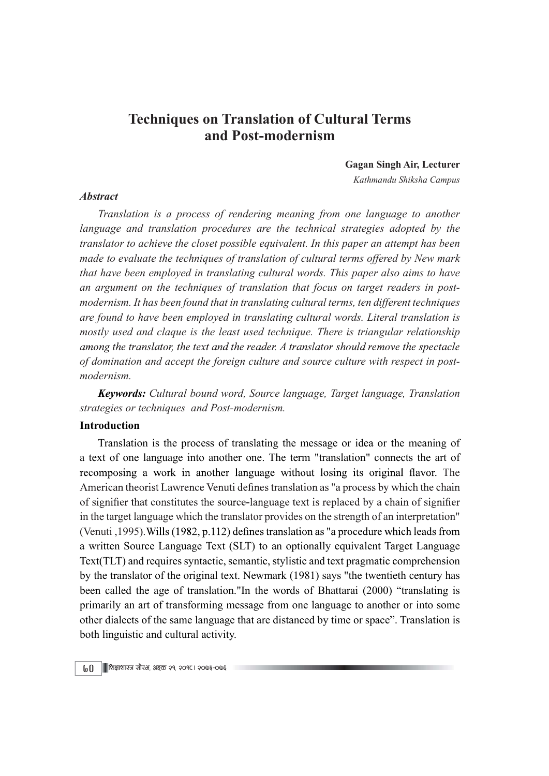# Techniques on Translation of Cultural Terms and Post-modernism

Gagan Singh Air, Lecturer

Kathmandu Shiksha Campus

### **Abstract**

Translation is a process of rendering meaning from one language to another language and translation procedures are the technical strategies adopted by the translator to achieve the closet possible equivalent. In this paper an attempt has been made to evaluate the techniques of translation of cultural terms offered by New mark that have been employed in translating cultural words. This paper also aims to have an argument on the techniques of translation that focus on target readers in postmodernism. It has been found that in translating cultural terms, ten different techniques are found to have been employed in translating cultural words. Literal translation is mostly used and claque is the least used technique. There is triangular relationship among the translator, the text and the reader. A translator should remove the spectacle of domination and accept the foreign culture and source culture with respect in postmodernism.

Keywords: Cultural bound word, Source language, Target language, Translation strategies or techniques and Post-modernism.

### Introduction

Translation is the process of translating the message or idea or the meaning of a text of one language into another one. The term "translation" connects the art of recomposing a work in another language without losing its original flavor. The American theorist Lawrence Venuti defines translation as "a process by which the chain of signifier that constitutes the source-language text is replaced by a chain of signifier in the target language which the translator provides on the strength of an interpretation" (Venuti, 1995). Wills (1982, p.112) defines translation as "a procedure which leads from a written Source Language Text (SLT) to an optionally equivalent Target Language Text(TLT) and requires syntactic, semantic, stylistic and text pragmatic comprehension by the translator of the original text. Newmark (1981) says "the twentieth century has been called the age of translation."In the words of Bhattarai (2000) "translating is primarily an art of transforming message from one language to another or into some other dialects of the same language that are distanced by time or space". Translation is both linguistic and cultural activity.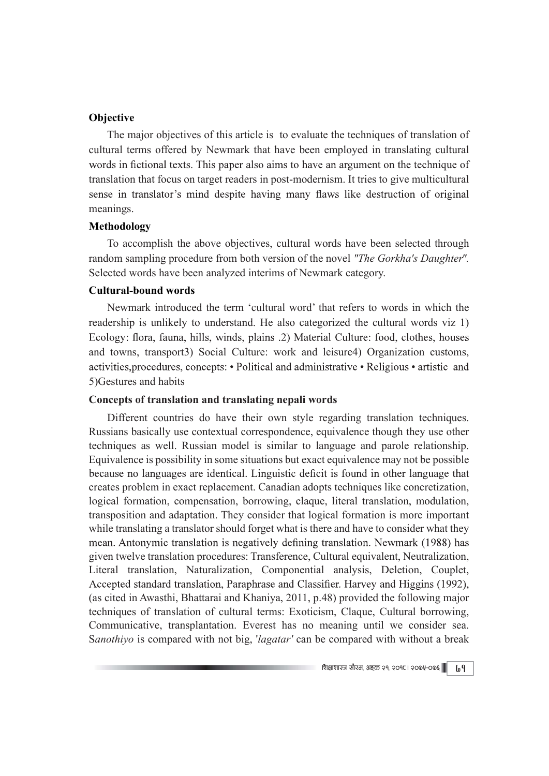# **Objective**

The major objectives of this article is to evaluate the techniques of translation of cultural terms offered by Newmark that have been employed in translating cultural words in fictional texts. This paper also aims to have an argument on the technique of translation that focus on target readers in post-modernism. It tries to give multicultural sense in translator's mind despite having many flaws like destruction of original meanings.

# Methodology

To accomplish the above objectives, cultural words have been selected through random sampling procedure from both version of the novel "The Gorkha's Daughter". Selected words have been analyzed interims of Newmark category.

# Cultural-bound words

Newmark introduced the term 'cultural word' that refers to words in which the readership is unlikely to understand. He also categorized the cultural words viz 1) Ecology: flora, fauna, hills, winds, plains .2) Material Culture: food, clothes, houses and towns, transport3) Social Culture: work and leisure4) Organization customs, activities, procedures, concepts: • Political and administrative • Religious • artistic and 5)Gestures and habits

### Concepts of translation and translating nepali words

Different countries do have their own style regarding translation techniques. Russians basically use contextual correspondence, equivalence though they use other techniques as well. Russian model is similar to language and parole relationship. Equivalence is possibility in some situations but exact equivalence may not be possible because no languages are identical. Linguistic deficit is found in other language that creates problem in exact replacement. Canadian adopts techniques like concretization, logical formation, compensation, borrowing, claque, literal translation, modulation, transposition and adaptation. They consider that logical formation is more important while translating a translator should forget what is there and have to consider what they mean. Antonymic translation is negatively defining translation. Newmark (1988) has given twelve translation procedures: Transference, Cultural equivalent, Neutralization, Literal translation, Naturalization, Componential analysis, Deletion, Couplet, Accepted standard translation, Paraphrase and Classifier. Harvey and Higgins (1992), (as cited in Awasthi, Bhattarai and Khaniya, 2011, p.48) provided the following major techniques of translation of cultural terms: Exoticism, Claque, Cultural borrowing, Communicative, transplantation. Everest has no meaning until we consider sea. Sanothiyo is compared with not big, 'lagatar' can be compared with without a break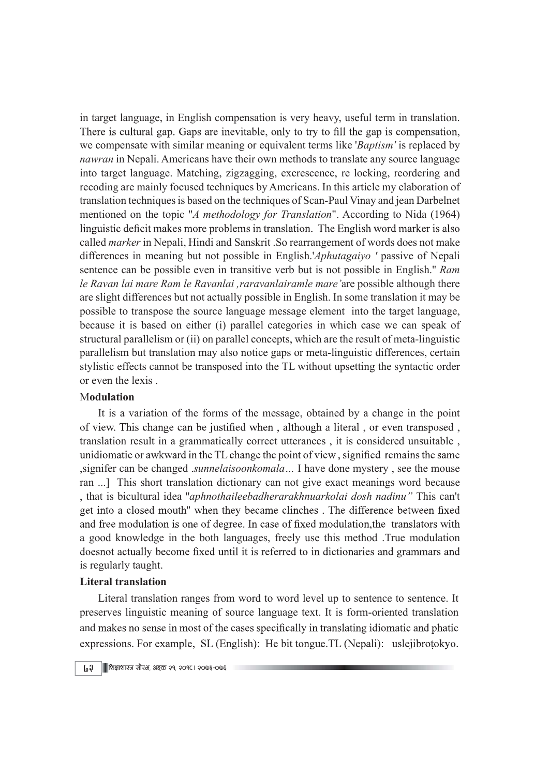in target language, in English compensation is very heavy, useful term in translation. There is cultural gap. Gaps are inevitable, only to try to fill the gap is compensation, we compensate with similar meaning or equivalent terms like 'Baptism' is replaced by nawran in Nepali. Americans have their own methods to translate any source language into target language. Matching, zigzagging, excrescence, re locking, reordering and recoding are mainly focused techniques by Americans. In this article my elaboration of translation techniques is based on the techniques of Scan-Paul Vinay and jean Darbelnet mentioned on the topic "A methodology for Translation". According to Nida (1964) linguistic deficit makes more problems in translation. The English word marker is also called marker in Nepali, Hindi and Sanskrit .So rearrangement of words does not make differences in meaning but not possible in English.'Aphutagaiyo ' passive of Nepali sentence can be possible even in transitive verb but is not possible in English.'' Ram le Ravan lai mare Ram le Ravanlai ,raravanlairamle mare'are possible although there are slight differences but not actually possible in English. In some translation it may be possible to transpose the source language message element into the target language, because it is based on either (i) parallel categories in which case we can speak of structural parallelism or (ii) on parallel concepts, which are the result of meta-linguistic parallelism but translation may also notice gaps or meta-linguistic differences, certain stylistic effects cannot be transposed into the TL without upsetting the syntactic order or even the lexis .

### Modulation

It is a variation of the forms of the message, obtained by a change in the point of view. This change can be justified when, although a literal, or even transposed, translation result in a grammatically correct utterances , it is considered unsuitable , unidiomatic or awkward in the TL change the point of view, signified remains the same ,signifer can be changed .sunnelaisoonkomala… I have done mystery , see the mouse ran ...] This short translation dictionary can not give exact meanings word because , that is bicultural idea ''aphnothaileebadherarakhnuarkolai dosh nadinu" This can't get into a closed mouth" when they became clinches. The difference between fixed and free modulation is one of degree. In case of fixed modulation, the translators with a good knowledge in the both languages, freely use this method .True modulation doesnot actually become fixed until it is referred to in dictionaries and grammars and is regularly taught.

### Literal translation

Literal translation ranges from word to word level up to sentence to sentence. It preserves linguistic meaning of source language text. It is form-oriented translation and makes no sense in most of the cases specifically in translating idiomatic and phatic expressions. For example, SL (English): He bit tongue. TL (Nepali): uslejibrotokyo.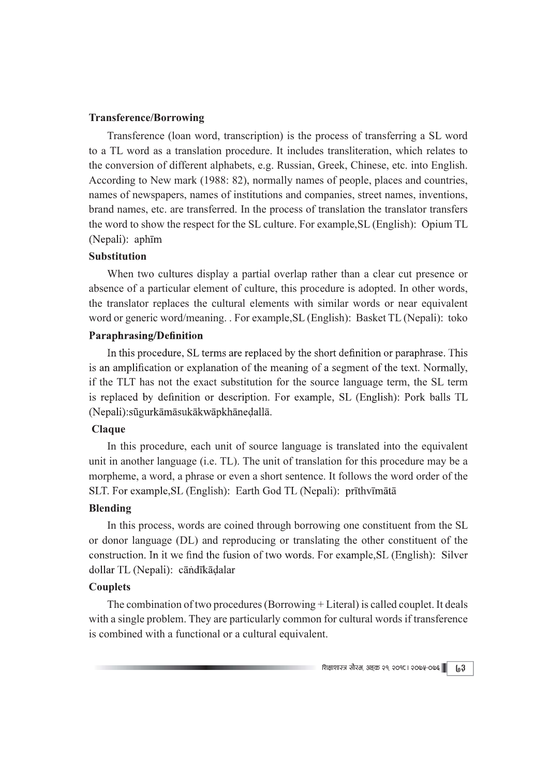### Transference/Borrowing

Transference (loan word, transcription) is the process of transferring a SL word to a TL word as a translation procedure. It includes transliteration, which relates to the conversion of different alphabets, e.g. Russian, Greek, Chinese, etc. into English. According to New mark (1988: 82), normally names of people, places and countries, names of newspapers, names of institutions and companies, street names, inventions, brand names, etc. are transferred. In the process of translation the translator transfers the word to show the respect for the SL culture. For example,SL (English): Opium TL (Nepali): aphīm

# Substitution

When two cultures display a partial overlap rather than a clear cut presence or absence of a particular element of culture, this procedure is adopted. In other words, the translator replaces the cultural elements with similar words or near equivalent word or generic word/meaning. . For example,SL (English): Basket TL (Nepali): toko

# **Paraphrasing/Definition**

In this procedure, SL terms are replaced by the short definition or paraphrase. This is an amplification or explanation of the meaning of a segment of the text. Normally, if the TLT has not the exact substitution for the source language term, the SL term is replaced by definition or description. For example, SL (English): Pork balls TL (Nepali):sügurkāmāsukākwāpkhānedallā.

# Claque

In this procedure, each unit of source language is translated into the equivalent unit in another language (i.e. TL). The unit of translation for this procedure may be a morpheme, a word, a phrase or even a short sentence. It follows the word order of the SLT. For example, SL (English): Earth God TL (Nepali): prīthvīmātā

# Blending

In this process, words are coined through borrowing one constituent from the SL or donor language (DL) and reproducing or translating the other constituent of the construction. In it we find the fusion of two words. For example, SL (English): Silver dollar TL (Nepali): cāndīkādalar

# **Couplets**

The combination of two procedures (Borrowing + Literal) is called couplet. It deals with a single problem. They are particularly common for cultural words if transference is combined with a functional or a cultural equivalent.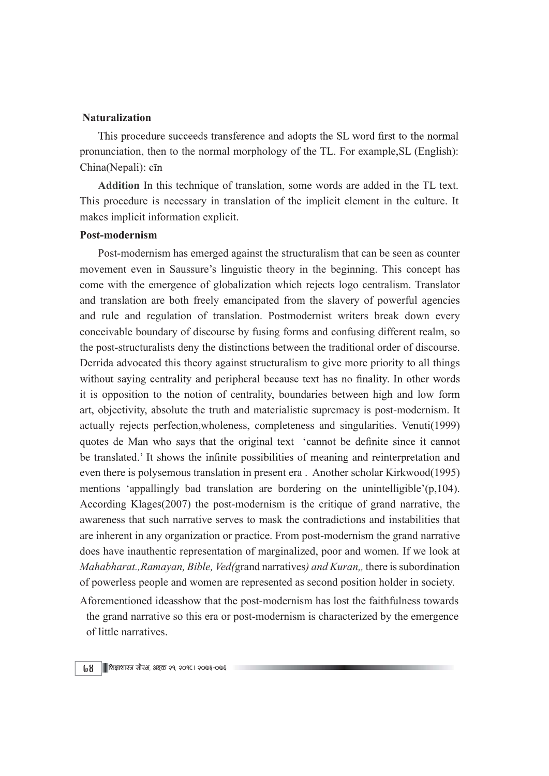### Naturalization

This procedure succeeds transference and adopts the SL word first to the normal pronunciation, then to the normal morphology of the TL. For example,SL (English): China(Nepali): cīn

Addition In this technique of translation, some words are added in the TL text. This procedure is necessary in translation of the implicit element in the culture. It makes implicit information explicit.

#### Post-modernism

Post-modernism has emerged against the structuralism that can be seen as counter movement even in Saussure's linguistic theory in the beginning. This concept has come with the emergence of globalization which rejects logo centralism. Translator and translation are both freely emancipated from the slavery of powerful agencies and rule and regulation of translation. Postmodernist writers break down every conceivable boundary of discourse by fusing forms and confusing different realm, so the post-structuralists deny the distinctions between the traditional order of discourse. Derrida advocated this theory against structuralism to give more priority to all things without saying centrality and peripheral because text has no finality. In other words it is opposition to the notion of centrality, boundaries between high and low form art, objectivity, absolute the truth and materialistic supremacy is post-modernism. It actually rejects perfection,wholeness, completeness and singularities. Venuti(1999) quotes de Man who says that the original text 'cannot be definite since it cannot be translated.' It shows the infinite possibilities of meaning and reinterpretation and even there is polysemous translation in present era . Another scholar Kirkwood(1995) mentions 'appallingly bad translation are bordering on the unintelligible'(p,104). According Klages(2007) the post-modernism is the critique of grand narrative, the awareness that such narrative serves to mask the contradictions and instabilities that are inherent in any organization or practice. From post-modernism the grand narrative does have inauthentic representation of marginalized, poor and women. If we look at Mahabharat.,Ramayan, Bible, Ved(grand narratives) and Kuran,, there is subordination of powerless people and women are represented as second position holder in society.

Aforementioned ideasshow that the post-modernism has lost the faithfulness towards the grand narrative so this era or post-modernism is characterized by the emergence of little narratives.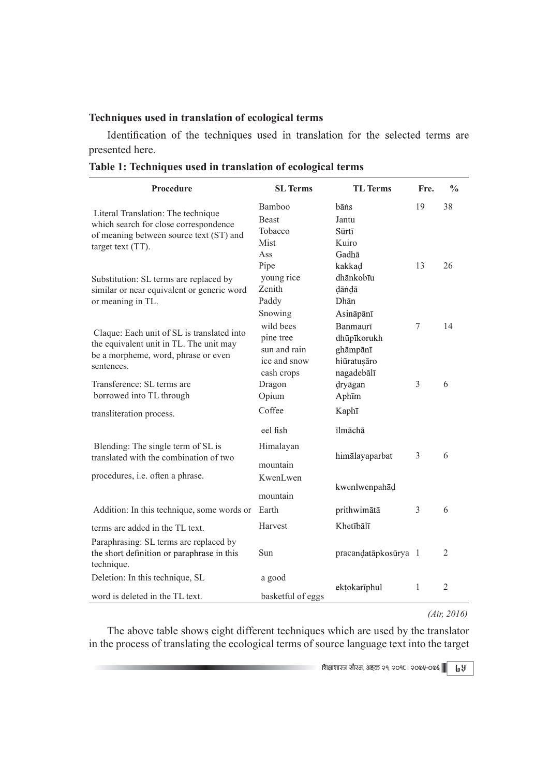### Techniques used in translation of ecological terms

| Techniques used in translation of ecological terms<br>Identification of the techniques used in translation for the selected terms are<br>presented here. |                   |                      |      |                |
|----------------------------------------------------------------------------------------------------------------------------------------------------------|-------------------|----------------------|------|----------------|
|                                                                                                                                                          |                   |                      |      |                |
|                                                                                                                                                          |                   |                      |      |                |
|                                                                                                                                                          |                   |                      |      |                |
|                                                                                                                                                          |                   |                      |      |                |
|                                                                                                                                                          |                   |                      |      |                |
|                                                                                                                                                          |                   |                      |      |                |
|                                                                                                                                                          |                   |                      |      |                |
|                                                                                                                                                          |                   |                      |      |                |
|                                                                                                                                                          |                   |                      |      |                |
|                                                                                                                                                          |                   |                      |      |                |
|                                                                                                                                                          |                   |                      |      |                |
| Table 1: Techniques used in translation of ecological terms                                                                                              |                   |                      |      |                |
|                                                                                                                                                          |                   |                      |      |                |
| Procedure                                                                                                                                                | <b>SL Terms</b>   | <b>TL Terms</b>      | Fre. | $\frac{0}{0}$  |
| Literal Translation: The technique                                                                                                                       | Bamboo            | bāns                 | 19   | 38             |
| which search for close correspondence                                                                                                                    | <b>Beast</b>      | Jantu                |      |                |
| of meaning between source text (ST) and                                                                                                                  | Tobacco           | Sūrtī                |      |                |
| target text $(TT)$ .                                                                                                                                     | Mist              | Kuiro                |      |                |
|                                                                                                                                                          | Ass               | Gadhā                |      |                |
|                                                                                                                                                          | Pipe              | kakkad               | 13   | 26             |
| Substitution: SL terms are replaced by                                                                                                                   | young rice        | dhānkobīu            |      |                |
| similar or near equivalent or generic word                                                                                                               | Zenith            | dāndā                |      |                |
| or meaning in TL.                                                                                                                                        | Paddy             | Dhān                 |      |                |
|                                                                                                                                                          | Snowing           | Asināpānī            |      |                |
| Claque: Each unit of SL is translated into                                                                                                               | wild bees         | Banmaurī             | 7    | 14             |
| the equivalent unit in TL. The unit may                                                                                                                  | pine tree         | dhūpīkorukh          |      |                |
| be a morpheme, word, phrase or even                                                                                                                      | sun and rain      | ghāmpānī             |      |                |
| sentences.                                                                                                                                               | ice and snow      | hiũratușāro          |      |                |
|                                                                                                                                                          | cash crops        | nagadebālī           |      |                |
| Transference: SL terms are                                                                                                                               | Dragon            | dryāgan              | 3    | 6              |
| borrowed into TL through                                                                                                                                 | Opium             | Aphīm                |      |                |
| transliteration process.                                                                                                                                 | Coffee            | Kaphī                |      |                |
|                                                                                                                                                          | eel fish          | īlmāchā              |      |                |
|                                                                                                                                                          |                   |                      |      |                |
| Blending: The single term of SL is                                                                                                                       | Himalayan         | himālayaparbat       | 3    | 6              |
| translated with the combination of two                                                                                                                   | mountain          |                      |      |                |
| procedures, i.e. often a phrase.                                                                                                                         | KwenLwen          |                      |      |                |
|                                                                                                                                                          |                   | kwenlwenpahāḍ        |      |                |
|                                                                                                                                                          | mountain          |                      |      |                |
| Addition: In this technique, some words or Earth                                                                                                         |                   | prithwimātā          | 3    | 6              |
| terms are added in the TL text.                                                                                                                          | Harvest           | Khetībālī            |      |                |
| Paraphrasing: SL terms are replaced by                                                                                                                   |                   |                      |      |                |
| the short definition or paraphrase in this                                                                                                               | Sun               | pracandatāpkosūrya 1 |      | $\overline{2}$ |
| technique.                                                                                                                                               |                   |                      |      |                |
|                                                                                                                                                          | a good            |                      |      |                |
|                                                                                                                                                          |                   | ekțokarīphul         |      | $\overline{2}$ |
| Deletion: In this technique, SL<br>word is deleted in the TL text.                                                                                       | basketful of eggs |                      |      |                |

Table 1: Techniques used in translation of ecological terms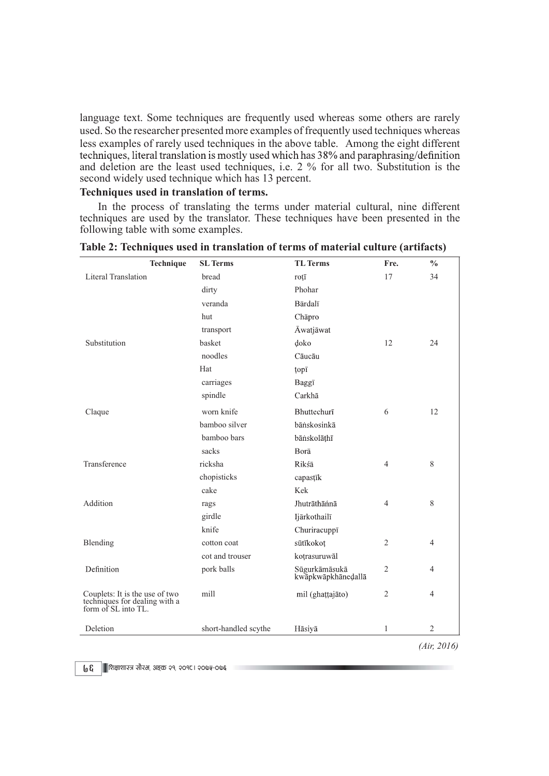### Techniques used in translation of terms.

| less examples of rarely used techniques in the above table. Among the eight different<br>techniques, literal translation is mostly used which has 38% and paraphrasing/definition<br>and deletion are the least used techniques, i.e. 2 % for all two. Substitution is the<br>second widely used technique which has 13 percent.<br>Techniques used in translation of terms. |                      |                                     |                | used. So the researcher presented more examples of frequently used techniques whereas |
|------------------------------------------------------------------------------------------------------------------------------------------------------------------------------------------------------------------------------------------------------------------------------------------------------------------------------------------------------------------------------|----------------------|-------------------------------------|----------------|---------------------------------------------------------------------------------------|
|                                                                                                                                                                                                                                                                                                                                                                              |                      |                                     |                |                                                                                       |
|                                                                                                                                                                                                                                                                                                                                                                              |                      |                                     |                |                                                                                       |
| In the process of translating the terms under material cultural, nine different                                                                                                                                                                                                                                                                                              |                      |                                     |                |                                                                                       |
| techniques are used by the translator. These techniques have been presented in the<br>following table with some examples.                                                                                                                                                                                                                                                    |                      |                                     |                |                                                                                       |
| Table 2: Techniques used in translation of terms of material culture (artifacts)                                                                                                                                                                                                                                                                                             |                      |                                     |                |                                                                                       |
| Technique                                                                                                                                                                                                                                                                                                                                                                    | <b>SL</b> Terms      | <b>TL</b> Terms                     | Fre.           |                                                                                       |
| Literal Translation                                                                                                                                                                                                                                                                                                                                                          | bread                | roțī                                | 17             |                                                                                       |
|                                                                                                                                                                                                                                                                                                                                                                              | dirty                | Phohar                              |                |                                                                                       |
|                                                                                                                                                                                                                                                                                                                                                                              | veranda              | Bārdalī                             |                |                                                                                       |
|                                                                                                                                                                                                                                                                                                                                                                              | hut                  | Chāpro                              |                |                                                                                       |
|                                                                                                                                                                                                                                                                                                                                                                              | transport            | Āwatjāwat                           |                |                                                                                       |
| Substitution                                                                                                                                                                                                                                                                                                                                                                 | basket               | doko                                | 12             | 24                                                                                    |
|                                                                                                                                                                                                                                                                                                                                                                              | noodles              | Cāucāu                              |                |                                                                                       |
|                                                                                                                                                                                                                                                                                                                                                                              | Hat                  | topī                                |                |                                                                                       |
|                                                                                                                                                                                                                                                                                                                                                                              | carriages            | Baggī                               |                |                                                                                       |
|                                                                                                                                                                                                                                                                                                                                                                              | spindle              | Carkhā                              |                |                                                                                       |
| Claque                                                                                                                                                                                                                                                                                                                                                                       | worn knife           | Bhuttechurī                         | 6              | 12                                                                                    |
|                                                                                                                                                                                                                                                                                                                                                                              | bamboo silver        | bāṅskosinkā                         |                |                                                                                       |
|                                                                                                                                                                                                                                                                                                                                                                              | bamboo bars          | bānskolāthī                         |                |                                                                                       |
|                                                                                                                                                                                                                                                                                                                                                                              | sacks                | Borā                                |                |                                                                                       |
| Transference                                                                                                                                                                                                                                                                                                                                                                 | ricksha              | Rikśā                               | 4              | 8                                                                                     |
|                                                                                                                                                                                                                                                                                                                                                                              | chopisticks          | capastīk                            |                |                                                                                       |
|                                                                                                                                                                                                                                                                                                                                                                              | cake                 | Kek                                 |                |                                                                                       |
| Addition                                                                                                                                                                                                                                                                                                                                                                     | rags                 | Jhutrāthāńnā                        | $\overline{4}$ | 8                                                                                     |
|                                                                                                                                                                                                                                                                                                                                                                              | girdle               | Ijārkothailī                        |                |                                                                                       |
|                                                                                                                                                                                                                                                                                                                                                                              | knife                | Churiracuppī                        |                |                                                                                       |
| Blending                                                                                                                                                                                                                                                                                                                                                                     | cotton coat          | sūtīkokot                           | $\overline{c}$ | $\frac{0}{0}$<br>34<br>$\overline{4}$<br>4<br>$\overline{4}$                          |
|                                                                                                                                                                                                                                                                                                                                                                              | cot and trouser      | kotrasuruwāl                        |                |                                                                                       |
| Definition                                                                                                                                                                                                                                                                                                                                                                   | pork balls           | Sūgurkāmāsukā<br>kwāpkwāpkhānedallā | $\overline{c}$ |                                                                                       |
| Couplets: It is the use of two<br>techniques for dealing with a<br>form of SL into TL.                                                                                                                                                                                                                                                                                       | mill                 | mil (ghattajāto)                    | $\overline{c}$ |                                                                                       |
| Deletion                                                                                                                                                                                                                                                                                                                                                                     | short-handled scythe | Hãsiyā                              | 1              | $\sqrt{2}$                                                                            |
|                                                                                                                                                                                                                                                                                                                                                                              |                      |                                     |                | (Air, 2016)                                                                           |
|                                                                                                                                                                                                                                                                                                                                                                              |                      |                                     |                |                                                                                       |

Table 2: Techniques used in translation of terms of material culture (artifacts)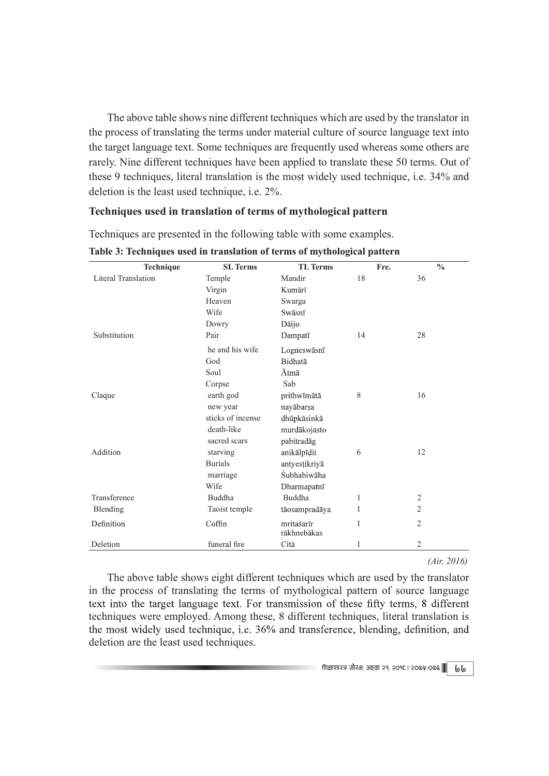The above table shows nine different techniques which are used by the translator in the process of translating the terms under material culture of source language text into the target language text. Some techniques are frequently used whereas some others are rarely. Nine different techniques have been applied to translate these 50 terms. Out of these 9 techniques, literal translation is the most widely used technique, i.e. 34% and deletion is the least used technique, i.e. 2%. The above table shows nine different techniques which are used by the translator in<br>the process of translating the terms under material culture of source language text into<br>he target language text. Some techniques are fre The above table shows nine different techniques which are used by the translator in<br>
the process of translating the terms under material culture of source language text into<br>
he target language text. Some techniques are fr

# Techniques used in translation of terms of mythological pattern

| The above table shows nine different techniques which are used by the translator in<br>the process of translating the terms under material culture of source language text into<br>the target language text. Some techniques are frequently used whereas some others are<br>rarely. Nine different techniques have been applied to translate these 50 terms. Out of<br>these 9 techniques, literal translation is the most widely used technique, i.e. 34% and |                                                                          |                                                                       |    |      |                |  |
|----------------------------------------------------------------------------------------------------------------------------------------------------------------------------------------------------------------------------------------------------------------------------------------------------------------------------------------------------------------------------------------------------------------------------------------------------------------|--------------------------------------------------------------------------|-----------------------------------------------------------------------|----|------|----------------|--|
| deletion is the least used technique, i.e. 2%.<br>Techniques used in translation of terms of mythological pattern                                                                                                                                                                                                                                                                                                                                              |                                                                          |                                                                       |    |      |                |  |
| Techniques are presented in the following table with some examples.                                                                                                                                                                                                                                                                                                                                                                                            |                                                                          |                                                                       |    |      |                |  |
| Table 3: Techniques used in translation of terms of mythological pattern<br>Technique                                                                                                                                                                                                                                                                                                                                                                          | <b>SL</b> Terms                                                          | <b>TL</b> Terms                                                       |    | Fre. | $\frac{0}{0}$  |  |
| <b>Literal Translation</b>                                                                                                                                                                                                                                                                                                                                                                                                                                     | Temple<br>Virgin<br>Heaven<br>Wife<br>Dowry                              | Mandir<br>Kumārī<br>Swarga<br>Swāsnī<br>Dāijo                         | 18 |      | 36             |  |
| Substitution                                                                                                                                                                                                                                                                                                                                                                                                                                                   | Pair<br>he and his wife<br>God<br>Soul<br>Corpse                         | Dampatī<br>Logneswāsnī<br>Bidhatā<br>Ātmā<br>Sab                      | 14 |      | 28             |  |
| Claque                                                                                                                                                                                                                                                                                                                                                                                                                                                         | earth god<br>new year<br>sticks of incense<br>death-like<br>sacred scars | prithwīmātā<br>nayābarṣa<br>dhūpkāsinkā<br>murdākojasto<br>pabitradāg | 8  |      | 16             |  |
| Addition                                                                                                                                                                                                                                                                                                                                                                                                                                                       | starving<br><b>Burials</b><br>marriage<br>Wife                           | anikālpīdit<br>antyestikriyā<br>Śubhabiwāha<br>Dharmapatnī            | 6  |      | 12             |  |
| Transference                                                                                                                                                                                                                                                                                                                                                                                                                                                   | Buddha                                                                   | Buddha                                                                |    |      | $\overline{c}$ |  |
| Blending                                                                                                                                                                                                                                                                                                                                                                                                                                                       | Taoist temple                                                            | tāosampradāya                                                         |    |      | $\overline{2}$ |  |
| Definition                                                                                                                                                                                                                                                                                                                                                                                                                                                     | Coffin                                                                   | mritaśarīr<br>rākhnebākas                                             |    |      | 2              |  |
| Deletion                                                                                                                                                                                                                                                                                                                                                                                                                                                       | funeral fire                                                             | Citā                                                                  |    |      | 2              |  |

Table 3: Techniques used in translation of terms of mythological pattern

The above table shows eight different techniques which are used by the translator in the process of translating the terms of mythological pattern of source language techniques were employed. Among these, 8 different techniques, literal translation is the most widely used technique, i.e. 36% and transference, blending, definition, and deletion are the least used techniques.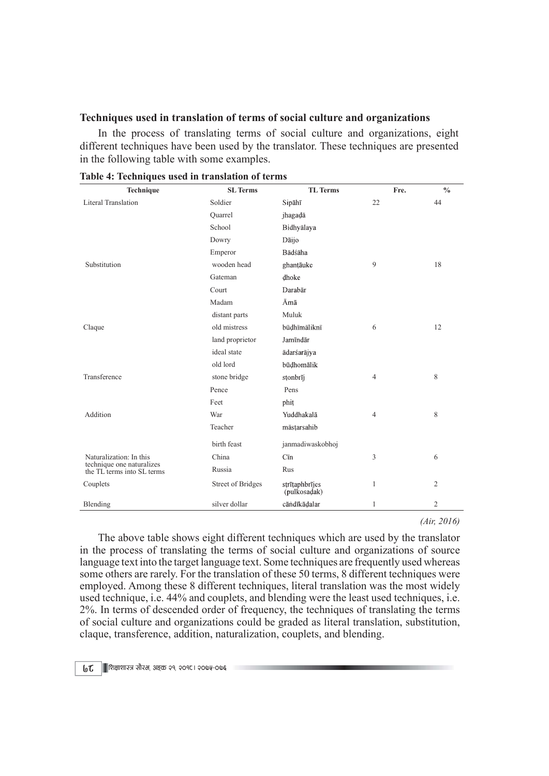### Techniques used in translation of terms of social culture and organizations

| Techniques used in translation of terms of social culture and organizations<br>In the process of translating terms of social culture and organizations, eight<br>different techniques have been used by the translator. These techniques are presented<br>in the following table with some examples. |                          |                                |      |                |
|------------------------------------------------------------------------------------------------------------------------------------------------------------------------------------------------------------------------------------------------------------------------------------------------------|--------------------------|--------------------------------|------|----------------|
|                                                                                                                                                                                                                                                                                                      |                          |                                |      |                |
|                                                                                                                                                                                                                                                                                                      |                          |                                |      |                |
|                                                                                                                                                                                                                                                                                                      |                          |                                |      |                |
|                                                                                                                                                                                                                                                                                                      |                          |                                |      |                |
|                                                                                                                                                                                                                                                                                                      |                          |                                |      |                |
|                                                                                                                                                                                                                                                                                                      |                          |                                |      |                |
|                                                                                                                                                                                                                                                                                                      |                          |                                |      |                |
|                                                                                                                                                                                                                                                                                                      |                          |                                |      |                |
|                                                                                                                                                                                                                                                                                                      |                          |                                |      |                |
|                                                                                                                                                                                                                                                                                                      |                          |                                |      |                |
| Table 4: Techniques used in translation of terms                                                                                                                                                                                                                                                     |                          |                                |      |                |
| Technique                                                                                                                                                                                                                                                                                            | <b>SL</b> Terms          | TL Terms                       | Fre. | $\frac{0}{0}$  |
| Literal Translation                                                                                                                                                                                                                                                                                  | Soldier                  | Sipāhī                         | 22   | 44             |
|                                                                                                                                                                                                                                                                                                      | Quarrel                  | jhagadā                        |      |                |
|                                                                                                                                                                                                                                                                                                      | School                   | Bidhyālaya                     |      |                |
|                                                                                                                                                                                                                                                                                                      | Dowry                    | Dāijo                          |      |                |
|                                                                                                                                                                                                                                                                                                      | Emperor                  | Bādśāha                        |      |                |
| Substitution                                                                                                                                                                                                                                                                                         | wooden head              | ghantāuke                      | 9    | 18             |
|                                                                                                                                                                                                                                                                                                      | Gateman                  | dhoke                          |      |                |
|                                                                                                                                                                                                                                                                                                      | Court                    | Darabār                        |      |                |
|                                                                                                                                                                                                                                                                                                      | Madam                    | Āmā                            |      |                |
|                                                                                                                                                                                                                                                                                                      | distant parts            | Muluk                          |      |                |
| Claque                                                                                                                                                                                                                                                                                               | old mistress             | būdhīmāliknī                   | 6    | 12             |
|                                                                                                                                                                                                                                                                                                      | land proprietor          | Jamīndār                       |      |                |
|                                                                                                                                                                                                                                                                                                      | ideal state              | ādarśarājya                    |      |                |
|                                                                                                                                                                                                                                                                                                      | old lord                 | būdhomālik                     |      |                |
| Transference                                                                                                                                                                                                                                                                                         | stone bridge             | stonbrīj                       | 4    | 8              |
|                                                                                                                                                                                                                                                                                                      | Pence                    | Pens                           |      |                |
|                                                                                                                                                                                                                                                                                                      | Feet                     | phit                           |      |                |
| Addition                                                                                                                                                                                                                                                                                             | War                      | Yuddhakalā                     | 4    | 8              |
|                                                                                                                                                                                                                                                                                                      | Teacher                  | māstarsahib                    |      |                |
|                                                                                                                                                                                                                                                                                                      | birth feast              | janmadiwaskobhoj               |      |                |
| Naturalization: In this                                                                                                                                                                                                                                                                              | China                    | Cīn                            | 3    | 6              |
| technique one naturalizes                                                                                                                                                                                                                                                                            | Russia                   | Rus                            |      |                |
| the TL terms into SL terms                                                                                                                                                                                                                                                                           |                          |                                |      |                |
| Couplets                                                                                                                                                                                                                                                                                             | <b>Street of Bridges</b> | strītaphbrījes<br>(pulkosadak) |      | $\overline{2}$ |
|                                                                                                                                                                                                                                                                                                      | silver dollar            | cāndīkādalar                   |      | $\overline{c}$ |
| Blending                                                                                                                                                                                                                                                                                             |                          |                                |      |                |

| Table 4: Techniques used in translation of terms |  |  |
|--------------------------------------------------|--|--|
|                                                  |  |  |

The above table shows eight different techniques which are used by the translator in the process of translating the terms of social culture and organizations of source language text into the target language text. Some techniques are frequently used whereas some others are rarely. For the translation of these 50 terms, 8 different techniques were employed. Among these 8 different techniques, literal translation was the most widely used technique, i.e. 44% and couplets, and blending were the least used techniques, i.e. 2%. In terms of descended order of frequency, the techniques of translating the terms of social culture and organizations could be graded as literal translation, substitution, claque, transference, addition, naturalization, couplets, and blending.